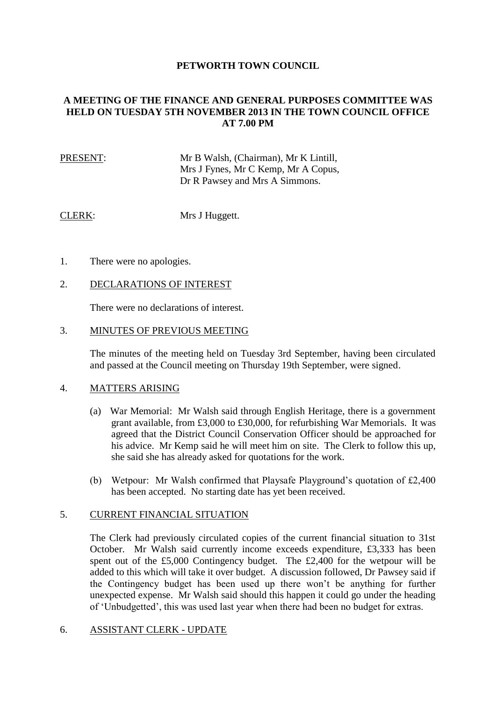## **PETWORTH TOWN COUNCIL**

# **A MEETING OF THE FINANCE AND GENERAL PURPOSES COMMITTEE WAS HELD ON TUESDAY 5TH NOVEMBER 2013 IN THE TOWN COUNCIL OFFICE AT 7.00 PM**

## PRESENT: Mr B Walsh, (Chairman), Mr K Lintill, Mrs J Fynes, Mr C Kemp, Mr A Copus, Dr R Pawsey and Mrs A Simmons.

CLERK: Mrs J Huggett.

1. There were no apologies.

### 2. DECLARATIONS OF INTEREST

There were no declarations of interest.

#### 3. MINUTES OF PREVIOUS MEETING

The minutes of the meeting held on Tuesday 3rd September, having been circulated and passed at the Council meeting on Thursday 19th September, were signed.

### 4. MATTERS ARISING

- (a) War Memorial: Mr Walsh said through English Heritage, there is a government grant available, from £3,000 to £30,000, for refurbishing War Memorials. It was agreed that the District Council Conservation Officer should be approached for his advice. Mr Kemp said he will meet him on site. The Clerk to follow this up, she said she has already asked for quotations for the work.
- (b) Wetpour: Mr Walsh confirmed that Playsafe Playground's quotation of £2,400 has been accepted. No starting date has yet been received.

### 5. CURRENT FINANCIAL SITUATION

The Clerk had previously circulated copies of the current financial situation to 31st October. Mr Walsh said currently income exceeds expenditure, £3,333 has been spent out of the £5,000 Contingency budget. The £2,400 for the wetpour will be added to this which will take it over budget. A discussion followed, Dr Pawsey said if the Contingency budget has been used up there won't be anything for further unexpected expense. Mr Walsh said should this happen it could go under the heading of 'Unbudgetted', this was used last year when there had been no budget for extras.

### 6. ASSISTANT CLERK - UPDATE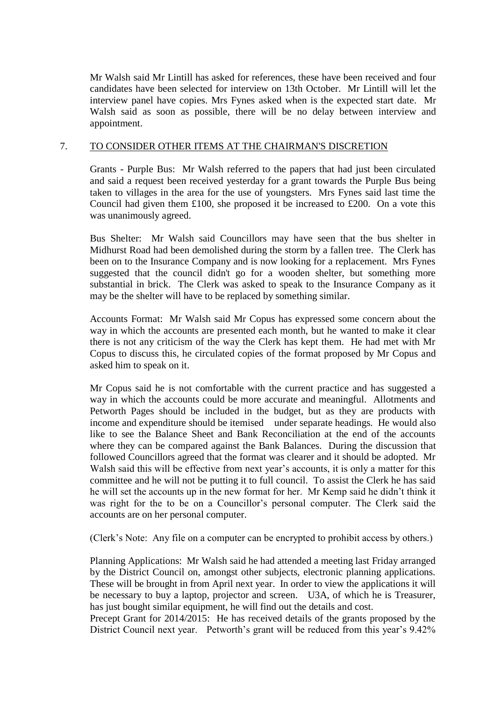Mr Walsh said Mr Lintill has asked for references, these have been received and four candidates have been selected for interview on 13th October. Mr Lintill will let the interview panel have copies. Mrs Fynes asked when is the expected start date. Mr Walsh said as soon as possible, there will be no delay between interview and appointment.

# 7. TO CONSIDER OTHER ITEMS AT THE CHAIRMAN'S DISCRETION

Grants - Purple Bus: Mr Walsh referred to the papers that had just been circulated and said a request been received yesterday for a grant towards the Purple Bus being taken to villages in the area for the use of youngsters. Mrs Fynes said last time the Council had given them £100, she proposed it be increased to £200. On a vote this was unanimously agreed.

Bus Shelter: Mr Walsh said Councillors may have seen that the bus shelter in Midhurst Road had been demolished during the storm by a fallen tree. The Clerk has been on to the Insurance Company and is now looking for a replacement. Mrs Fynes suggested that the council didn't go for a wooden shelter, but something more substantial in brick. The Clerk was asked to speak to the Insurance Company as it may be the shelter will have to be replaced by something similar.

Accounts Format: Mr Walsh said Mr Copus has expressed some concern about the way in which the accounts are presented each month, but he wanted to make it clear there is not any criticism of the way the Clerk has kept them. He had met with Mr Copus to discuss this, he circulated copies of the format proposed by Mr Copus and asked him to speak on it.

Mr Copus said he is not comfortable with the current practice and has suggested a way in which the accounts could be more accurate and meaningful. Allotments and Petworth Pages should be included in the budget, but as they are products with income and expenditure should be itemised under separate headings. He would also like to see the Balance Sheet and Bank Reconciliation at the end of the accounts where they can be compared against the Bank Balances. During the discussion that followed Councillors agreed that the format was clearer and it should be adopted. Mr Walsh said this will be effective from next year's accounts, it is only a matter for this committee and he will not be putting it to full council. To assist the Clerk he has said he will set the accounts up in the new format for her. Mr Kemp said he didn't think it was right for the to be on a Councillor's personal computer. The Clerk said the accounts are on her personal computer.

(Clerk's Note: Any file on a computer can be encrypted to prohibit access by others.)

Planning Applications: Mr Walsh said he had attended a meeting last Friday arranged by the District Council on, amongst other subjects, electronic planning applications. These will be brought in from April next year. In order to view the applications it will be necessary to buy a laptop, projector and screen. U3A, of which he is Treasurer, has just bought similar equipment, he will find out the details and cost.

Precept Grant for 2014/2015: He has received details of the grants proposed by the District Council next year. Petworth's grant will be reduced from this year's 9.42%